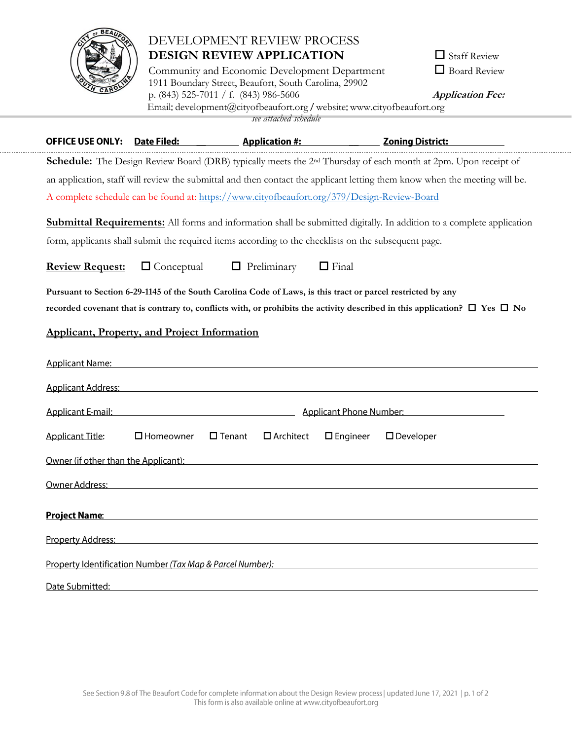

. . . . . . . . . . . . . . . . .

# DEVELOPMENT REVIEW PROCESS **DESIGN REVIEW APPLICATION**

Community and Economic Development Department 1911 Boundary Street, Beaufort, South Carolina, 29902 p. (843) 525-7011 / f. (843) 986-5606 **Application Fee:**  Email: [development@cityofbeaufort.org](mailto:development@cityofbeaufort.org) / website: [www.cityofbeaufort.org](http://www.cityofbeaufort.org/) *see attached schedule*

| $\Box$ Staff Review |
|---------------------|
| Board Review        |

|                                                                                                                              |                                                                                                                |                                      |                 | OFFICE USE ONLY: Date Filed: Application #: Zoning District:                                                                                                                                                                         |  |  |
|------------------------------------------------------------------------------------------------------------------------------|----------------------------------------------------------------------------------------------------------------|--------------------------------------|-----------------|--------------------------------------------------------------------------------------------------------------------------------------------------------------------------------------------------------------------------------------|--|--|
|                                                                                                                              |                                                                                                                |                                      |                 | Schedule: The Design Review Board (DRB) typically meets the 2 <sup>nd</sup> Thursday of each month at 2pm. Upon receipt of                                                                                                           |  |  |
| an application, staff will review the submittal and then contact the applicant letting them know when the meeting will be.   |                                                                                                                |                                      |                 |                                                                                                                                                                                                                                      |  |  |
|                                                                                                                              | A complete schedule can be found at: https://www.cityofbeaufort.org/379/Design-Review-Board                    |                                      |                 |                                                                                                                                                                                                                                      |  |  |
| <b>Submittal Requirements:</b> All forms and information shall be submitted digitally. In addition to a complete application |                                                                                                                |                                      |                 |                                                                                                                                                                                                                                      |  |  |
| form, applicants shall submit the required items according to the checklists on the subsequent page.                         |                                                                                                                |                                      |                 |                                                                                                                                                                                                                                      |  |  |
| <b>Review Request:</b>                                                                                                       | $\Box$ Conceptual                                                                                              | $\Box$ Preliminary                   | $\Box$ Final    |                                                                                                                                                                                                                                      |  |  |
| Pursuant to Section 6-29-1145 of the South Carolina Code of Laws, is this tract or parcel restricted by any                  |                                                                                                                |                                      |                 |                                                                                                                                                                                                                                      |  |  |
|                                                                                                                              |                                                                                                                |                                      |                 | recorded covenant that is contrary to, conflicts with, or prohibits the activity described in this application? $\Box$ Yes $\Box$ No                                                                                                 |  |  |
| <b>Applicant, Property, and Project Information</b>                                                                          |                                                                                                                |                                      |                 |                                                                                                                                                                                                                                      |  |  |
| <b>Applicant Name:</b>                                                                                                       | <u> 1989 - Johann Barbara, martxa alemaniar argametria (h. 1989).</u>                                          |                                      |                 |                                                                                                                                                                                                                                      |  |  |
|                                                                                                                              | Applicant Address: No. 2014 19:30:00 12:30:00 12:30:00 12:30:00 12:30:00 12:30:00 12:30:00 12:30:00 12:30:00 1 |                                      |                 |                                                                                                                                                                                                                                      |  |  |
| Applicant E-mail:                                                                                                            |                                                                                                                |                                      |                 | <b>Example 2018 The Contract Contract Contract Contract Contract Contract Contract Contract Contract Contract Contract Contract Contract Contract Contract Contract Contract Contract Contract Contract Contract Contract Contra</b> |  |  |
| <b>Applicant Title:</b>                                                                                                      | $\square$ Homeowner                                                                                            | $\square$ Tenant<br>$\Box$ Architect | $\Box$ Engineer | $\square$ Developer                                                                                                                                                                                                                  |  |  |
| Owner (if other than the Applicant):                                                                                         |                                                                                                                |                                      |                 |                                                                                                                                                                                                                                      |  |  |
| Owner Address:                                                                                                               | <u> 1989 - John Stone, amerikansk politiker (* 1989)</u>                                                       |                                      |                 |                                                                                                                                                                                                                                      |  |  |
| <b>Project Name:</b>                                                                                                         |                                                                                                                |                                      |                 |                                                                                                                                                                                                                                      |  |  |
| Property Address:                                                                                                            |                                                                                                                |                                      |                 |                                                                                                                                                                                                                                      |  |  |
| Property Identification Number (Tax Map & Parcel Number):                                                                    |                                                                                                                |                                      |                 |                                                                                                                                                                                                                                      |  |  |
| Date Submitted:                                                                                                              |                                                                                                                |                                      |                 |                                                                                                                                                                                                                                      |  |  |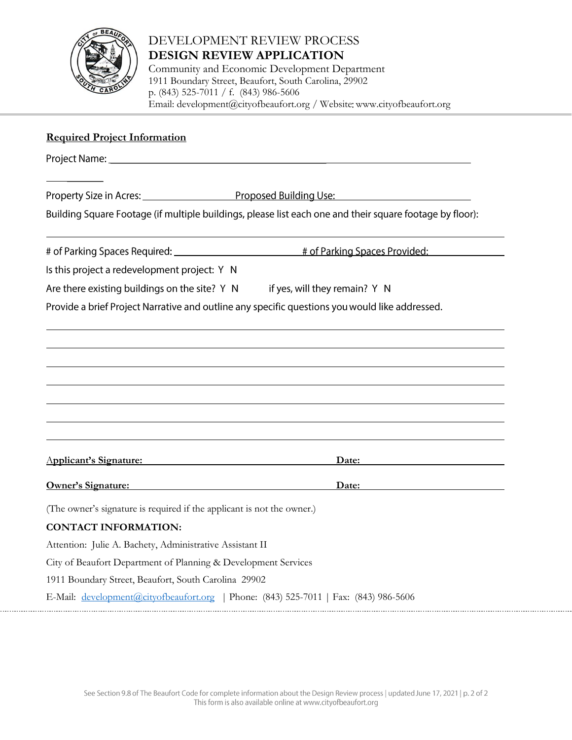

# DEVELOPMENT REVIEW PROCESS **DESIGN REVIEW APPLICATION**

Community and Economic Development Department 1911 Boundary Street, Beaufort, South Carolina, 29902 p. (843) 525-7011 / f. (843) 986-5606 Email: [development@cityofbeaufort.org](mailto:development@cityofbeaufort.org) / Website: [www.cityofbeaufort.org](http://www.cityofbeaufort.org/)

# **Required Project Information** Property Size in Acres: Proposed Building Use: Building Square Footage (if multiple buildings, please list each one and their square footage by floor): # of Parking Spaces Required: \_\_\_\_\_\_\_\_\_\_\_\_\_ # of Parking Spaces Provided: Is this project a redevelopment project: Y N if yes, will they remain? Y N Are there existing buildings on the site? Y N Provide a brief Project Narrative and outline any specific questions you would like addressed. A**pplicant's Signature: Date: Owner's Signature: Date:** (The owner's signature is required if the applicant is not the owner.) **CONTACT INFORMATION:** Attention: Julie A. Bachety, Administrative Assistant II City of Beaufort Department of Planning & Development Services 1911 Boundary Street, Beaufort, South Carolina 29902 E-Mail: [development@cityofbeaufort.org](mailto:development@cityofbeaufort.org) | Phone: (843) 525-7011 | Fax: (843) 986-5606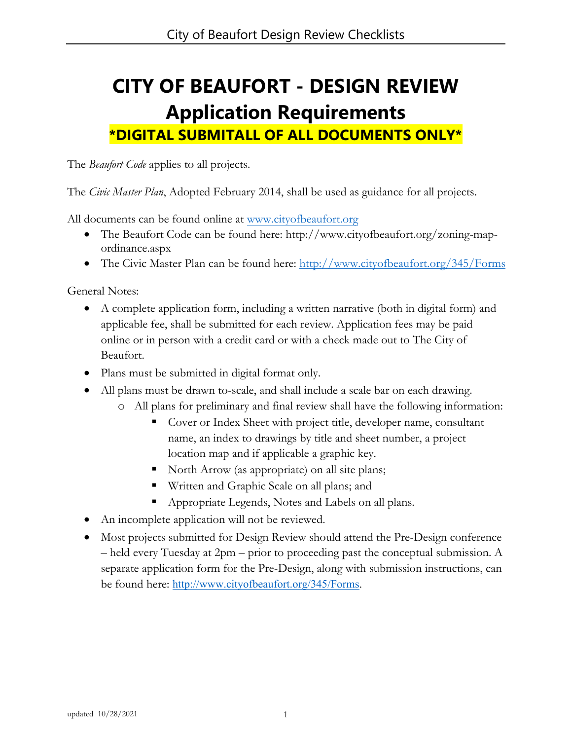# **CITY OF BEAUFORT - DESIGN REVIEW Application Requirements \*DIGITAL SUBMITALL OF ALL DOCUMENTS ONLY\***

The *Beaufort Code* applies to all projects.

The *Civic Master Plan*, Adopted February 2014, shall be used as guidance for all projects.

All documents can be found online at [www.cityofbeaufort.org](http://www.cityofbeaufort.org/)

- The Beaufort Code can be found here: http://www.cityofbeaufort.org/zoning-mapordinance.aspx
- The Civic Master Plan can be found here:<http://www.cityofbeaufort.org/345/Forms>

General Notes:

- A complete application form, including a written narrative (both in digital form) and applicable fee, shall be submitted for each review. Application fees may be paid online or in person with a credit card or with a check made out to The City of Beaufort.
- Plans must be submitted in digital format only.
- All plans must be drawn to-scale, and shall include a scale bar on each drawing.
	- o All plans for preliminary and final review shall have the following information:
		- Cover or Index Sheet with project title, developer name, consultant name, an index to drawings by title and sheet number, a project location map and if applicable a graphic key.
		- North Arrow (as appropriate) on all site plans;
		- Written and Graphic Scale on all plans; and
		- Appropriate Legends, Notes and Labels on all plans.
- An incomplete application will not be reviewed.
- Most projects submitted for Design Review should attend the Pre-Design conference – held every Tuesday at 2pm – prior to proceeding past the conceptual submission. A separate application form for the Pre-Design, along with submission instructions, can be found here: [http://www.cityofbeaufort.org/345/Forms.](http://www.cityofbeaufort.org/345/Forms)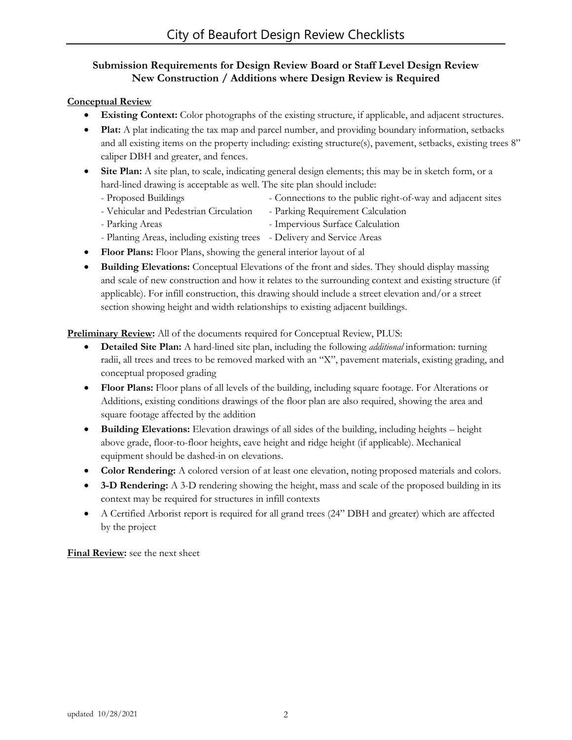# **Submission Requirements for Design Review Board or Staff Level Design Review New Construction / Additions where Design Review is Required**

## **Conceptual Review**

- **Existing Context:** Color photographs of the existing structure, if applicable, and adjacent structures.
- **Plat:** A plat indicating the tax map and parcel number, and providing boundary information, setbacks and all existing items on the property including: existing structure(s), pavement, setbacks, existing trees 8" caliper DBH and greater, and fences.
- **Site Plan:** A site plan, to scale, indicating general design elements; this may be in sketch form, or a hard-lined drawing is acceptable as well. The site plan should include:
	- Proposed Buildings Connections to the public right-of-way and adjacent sites
	- Vehicular and Pedestrian Circulation Parking Requirement Calculation
	- Parking Areas  **Impervious Surface Calculation**
	- Planting Areas, including existing trees Delivery and Service Areas
- **Floor Plans:** Floor Plans, showing the general interior layout of al
- **Building Elevations:** Conceptual Elevations of the front and sides. They should display massing and scale of new construction and how it relates to the surrounding context and existing structure (if applicable). For infill construction, this drawing should include a street elevation and/or a street section showing height and width relationships to existing adjacent buildings.

**Preliminary Review:** All of the documents required for Conceptual Review, PLUS:

- **Detailed Site Plan:** A hard-lined site plan, including the following *additional* information: turning radii, all trees and trees to be removed marked with an "X", pavement materials, existing grading, and conceptual proposed grading
- **Floor Plans:** Floor plans of all levels of the building, including square footage. For Alterations or Additions, existing conditions drawings of the floor plan are also required, showing the area and square footage affected by the addition
- **Building Elevations:** Elevation drawings of all sides of the building, including heights height above grade, floor-to-floor heights, eave height and ridge height (if applicable). Mechanical equipment should be dashed-in on elevations.
- **Color Rendering:** A colored version of at least one elevation, noting proposed materials and colors.
- **3-D Rendering:** A 3-D rendering showing the height, mass and scale of the proposed building in its context may be required for structures in infill contexts
- A Certified Arborist report is required for all grand trees (24" DBH and greater) which are affected by the project

**Final Review:** see the next sheet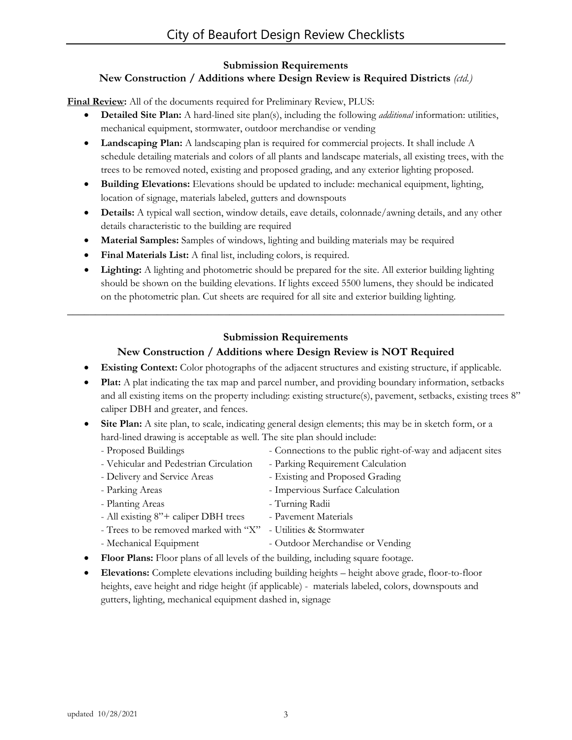### **Submission Requirements New Construction / Additions where Design Review is Required Districts** *(ctd.)*

**Final Review:** All of the documents required for Preliminary Review, PLUS:

- **Detailed Site Plan:** A hard-lined site plan(s), including the following *additional* information: utilities, mechanical equipment, stormwater, outdoor merchandise or vending
- **Landscaping Plan:** A landscaping plan is required for commercial projects. It shall include A schedule detailing materials and colors of all plants and landscape materials, all existing trees, with the trees to be removed noted, existing and proposed grading, and any exterior lighting proposed.
- **Building Elevations:** Elevations should be updated to include: mechanical equipment, lighting, location of signage, materials labeled, gutters and downspouts
- **Details:** A typical wall section, window details, eave details, colonnade/awning details, and any other details characteristic to the building are required
- **Material Samples:** Samples of windows, lighting and building materials may be required
- **Final Materials List:** A final list, including colors, is required.
- **Lighting:** A lighting and photometric should be prepared for the site. All exterior building lighting should be shown on the building elevations. If lights exceed 5500 lumens, they should be indicated on the photometric plan. Cut sheets are required for all site and exterior building lighting.

# **Submission Requirements**

**\_\_\_\_\_\_\_\_\_\_\_\_\_\_\_\_\_\_\_\_\_\_\_\_\_\_\_\_\_\_\_\_\_\_\_\_\_\_\_\_\_\_\_\_\_\_\_\_\_\_\_\_\_\_\_\_\_\_\_\_\_\_\_\_\_\_\_\_\_\_\_\_\_\_\_\_\_\_**

# **New Construction / Additions where Design Review is NOT Required**

- **Existing Context:** Color photographs of the adjacent structures and existing structure, if applicable.
- **Plat:** A plat indicating the tax map and parcel number, and providing boundary information, setbacks and all existing items on the property including: existing structure(s), pavement, setbacks, existing trees 8" caliper DBH and greater, and fences.
- **Site Plan:** A site plan, to scale, indicating general design elements; this may be in sketch form, or a hard-lined drawing is acceptable as well. The site plan should include:
	- Proposed Buildings Connections to the public right-of-way and adjacent sites
	- Vehicular and Pedestrian Circulation Parking Requirement Calculation
	- Delivery and Service Areas Existing and Proposed Grading
	- Parking Areas  **Impervious Surface Calculation**
	- Planting Areas Turning Radii
	- All existing 8"+ caliper DBH trees Pavement Materials
	- Trees to be removed marked with "X" Utilities & Stormwater
	- Mechanical Equipment Outdoor Merchandise or Vending
- **Floor Plans:** Floor plans of all levels of the building, including square footage.
- **Elevations:** Complete elevations including building heights height above grade, floor-to-floor heights, eave height and ridge height (if applicable) - materials labeled, colors, downspouts and gutters, lighting, mechanical equipment dashed in, signage